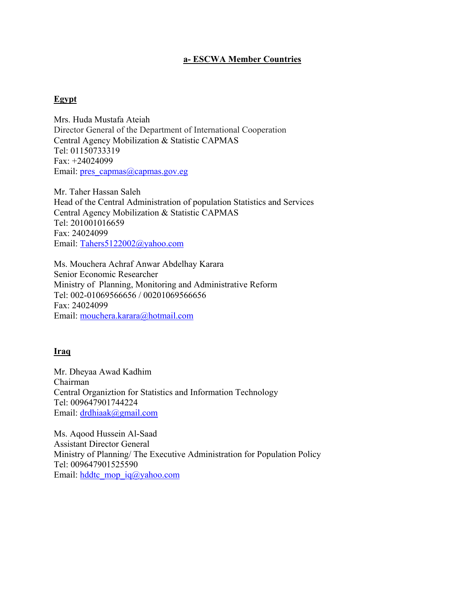# **a- ESCWA Member Countries**

## **Egypt**

Mrs. Huda Mustafa Ateiah Director General of the Department of International Cooperation Central Agency Mobilization & Statistic CAPMAS Tel: 01150733319 Fax: +24024099 Email: pres\_capmas@capmas.gov.eg

Mr. Taher Hassan Saleh Head of the Central Administration of population Statistics and Services Central Agency Mobilization & Statistic CAPMAS Tel: 201001016659 Fax: 24024099 Email: Tahers5122002@yahoo.com

Ms. Mouchera Achraf Anwar Abdelhay Karara Senior Economic Researcher Ministry of Planning, Monitoring and Administrative Reform Tel: 002-01069566656 / 00201069566656 Fax: 24024099 Email: mouchera.karara@hotmail.com

### **Iraq**

Mr. Dheyaa Awad Kadhim Chairman Central Organiztion for Statistics and Information Technology Tel: 009647901744224 Email: drdhiaak@gmail.com

Ms. Aqood Hussein Al-Saad Assistant Director General Ministry of Planning/ The Executive Administration for Population Policy Tel: 009647901525590 Email: hddtc\_mop\_iq@yahoo.com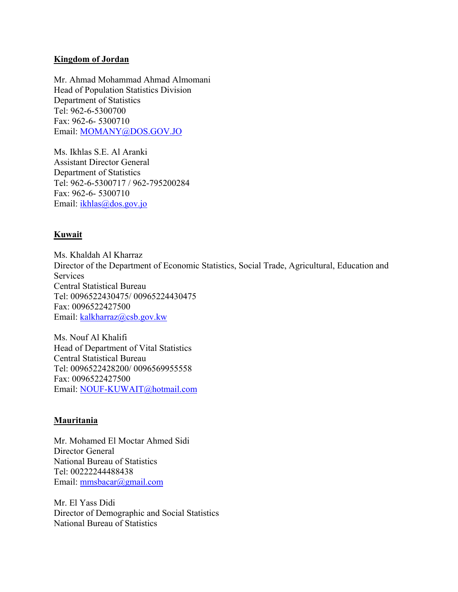### **Kingdom of Jordan**

Mr. Ahmad Mohammad Ahmad Almomani Head of Population Statistics Division Department of Statistics Tel: 962-6-5300700 Fax: 962-6- 5300710 Email: MOMANY@DOS.GOV.JO

Ms. Ikhlas S.E. Al Aranki Assistant Director General Department of Statistics Tel: 962-6-5300717 / 962-795200284 Fax: 962-6- 5300710 Email: ikhlas@dos.gov.jo

### **Kuwait**

Ms. Khaldah Al Kharraz Director of the Department of Economic Statistics, Social Trade, Agricultural, Education and Services Central Statistical Bureau Tel: 0096522430475/ 00965224430475 Fax: 0096522427500 Email: kalkharraz@csb.gov.kw

Ms. Nouf Al Khalifi Head of Department of Vital Statistics Central Statistical Bureau Tel: 0096522428200/ 0096569955558 Fax: 0096522427500 Email: NOUF-KUWAIT@hotmail.com

### **Mauritania**

Mr. Mohamed El Moctar Ahmed Sidi Director General National Bureau of Statistics Tel: 00222244488438 Email: mmsbacar@gmail.com

Mr. El Yass Didi Director of Demographic and Social Statistics National Bureau of Statistics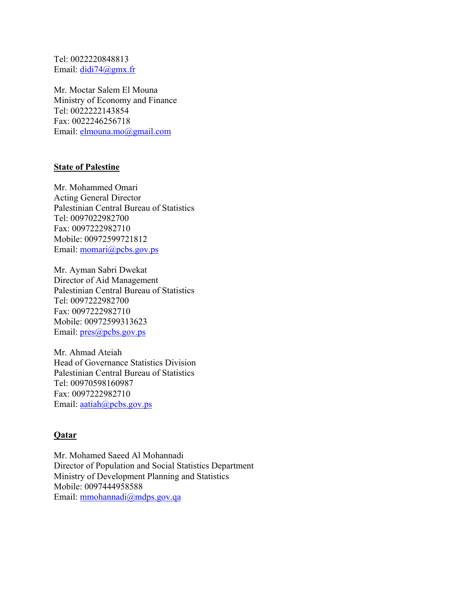Tel: 0022220848813 Email: didi74@gmx.fr

Mr. Moctar Salem El Mouna Ministry of Economy and Finance Tel: 0022222143854 Fax: 0022246256718 Email: elmouna.mo@gmail.com

### **State of Palestine**

Mr. Mohammed Omari Acting General Director Palestinian Central Bureau of Statistics Tel: 0097022982700 Fax: 0097222982710 Mobile: 00972599721812 Email: momari@pcbs.gov.ps

Mr. Ayman Sabri Dwekat Director of Aid Management Palestinian Central Bureau of Statistics Tel: 0097222982700 Fax: 0097222982710 Mobile: 00972599313623 Email:  $pres@pobs.gov.pys$ 

Mr. Ahmad Ateiah Head of Governance Statistics Division Palestinian Central Bureau of Statistics Tel: 00970598160987 Fax: 0097222982710 Email: aatiah@pcbs.gov.ps

# **Qatar**

Mr. Mohamed Saeed Al Mohannadi Director of Population and Social Statistics Department Ministry of Development Planning and Statistics Mobile: 0097444958588 Email: mmohannadi@mdps.gov.qa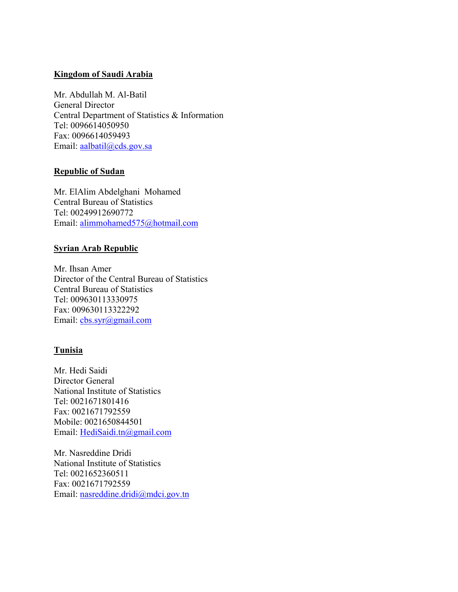## **Kingdom of Saudi Arabia**

Mr. Abdullah M. Al-Batil General Director Central Department of Statistics & Information Tel: 0096614050950 Fax: 0096614059493 Email: aalbatil@cds.gov.sa

## **Republic of Sudan**

Mr. ElAlim Abdelghani Mohamed Central Bureau of Statistics Tel: 00249912690772 Email: alimmohamed575@hotmail.com

# **Syrian Arab Republic**

Mr. Ihsan Amer Director of the Central Bureau of Statistics Central Bureau of Statistics Tel: 009630113330975 Fax: 009630113322292 Email: cbs.syr@gmail.com

# **Tunisia**

Mr. Hedi Saidi Director General National Institute of Statistics Tel: 0021671801416 Fax: 0021671792559 Mobile: 0021650844501 Email: HediSaidi.tn@gmail.com

Mr. Nasreddine Dridi National Institute of Statistics Tel: 0021652360511 Fax: 0021671792559 Email: nasreddine.dridi@mdci.gov.tn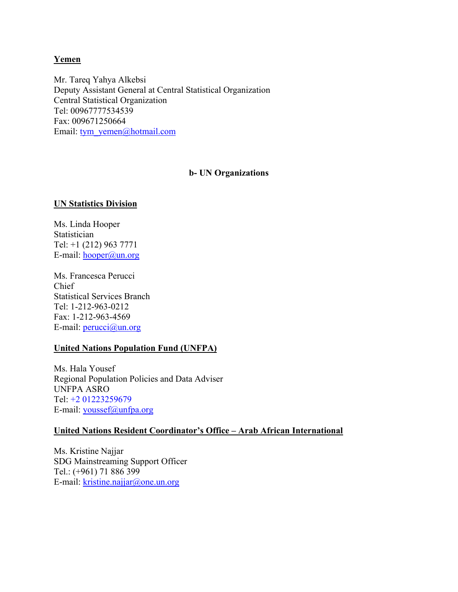## **Yemen**

Mr. Tareq Yahya Alkebsi Deputy Assistant General at Central Statistical Organization Central Statistical Organization Tel: 00967777534539 Fax: 009671250664 Email: tym\_yemen@hotmail.com

### **b- UN Organizations**

### **UN Statistics Division**

Ms. Linda Hooper Statistician Tel: +1 (212) 963 7771 E-mail: hooper@un.org

Ms. Francesca Perucci Chief Statistical Services Branch Tel: 1-212-963-0212 Fax: 1-212-963-4569 E-mail: perucci@un.org

### **United Nations Population Fund (UNFPA)**

Ms. Hala Yousef Regional Population Policies and Data Adviser UNFPA ASRO Tel: +2 01223259679 E-mail: youssef@unfpa.org

### **United Nations Resident Coordinator's Office – Arab African International**

Ms. Kristine Najjar SDG Mainstreaming Support Officer Tel.: (+961) 71 886 399 E-mail: kristine.najjar@one.un.org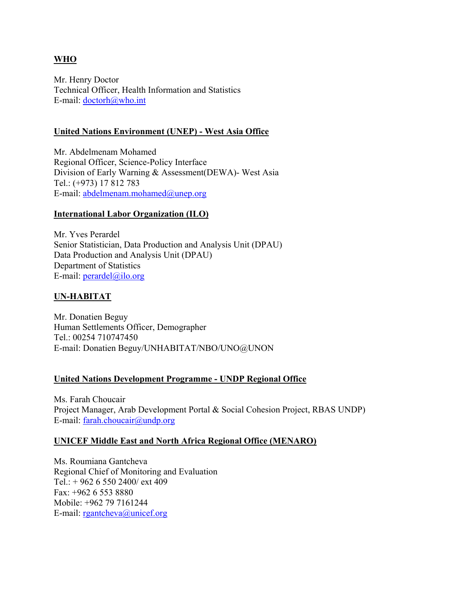# **WHO**

Mr. Henry Doctor Technical Officer, Health Information and Statistics E-mail: doctorh@who.int

## **United Nations Environment (UNEP) - West Asia Office**

Mr. Abdelmenam Mohamed Regional Officer, Science-Policy Interface Division of Early Warning & Assessment(DEWA)- West Asia Tel.: (+973) 17 812 783 E-mail: abdelmenam.mohamed@unep.org

## **International Labor Organization (ILO)**

Mr. Yves Perardel Senior Statistician, Data Production and Analysis Unit (DPAU) Data Production and Analysis Unit (DPAU) Department of Statistics E-mail: perardel@ilo.org

# **UN-HABITAT**

Mr. Donatien Beguy Human Settlements Officer, Demographer Tel.: 00254 710747450 E-mail: Donatien Beguy/UNHABITAT/NBO/UNO@UNON

# **United Nations Development Programme - UNDP Regional Office**

Ms. Farah Choucair Project Manager, Arab Development Portal & Social Cohesion Project, RBAS UNDP) E-mail: farah.choucair@undp.org

### **UNICEF Middle East and North Africa Regional Office (MENARO)**

Ms. Roumiana Gantcheva Regional Chief of Monitoring and Evaluation Tel.: + 962 6 550 2400/ ext 409 Fax: +962 6 553 8880 Mobile: +962 79 7161244 E-mail: rgantcheva@unicef.org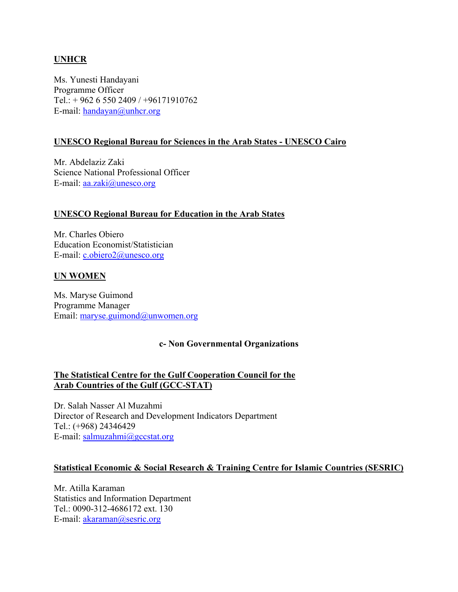# **UNHCR**

Ms. Yunesti Handayani Programme Officer Tel.:  $+96265502409/+96171910762$ E-mail: handayan@unhcr.org

### **UNESCO Regional Bureau for Sciences in the Arab States - UNESCO Cairo**

Mr. Abdelaziz Zaki Science National Professional Officer E-mail: aa.zaki@unesco.org

### **UNESCO Regional Bureau for Education in the Arab States**

Mr. Charles Obiero Education Economist/Statistician E-mail: c.obiero2@unesco.org

#### **UN WOMEN**

Ms. Maryse Guimond Programme Manager Email: maryse.guimond@unwomen.org

#### **c- Non Governmental Organizations**

## **The Statistical Centre for the Gulf Cooperation Council for the Arab Countries of the Gulf (GCC-STAT)**

Dr. Salah Nasser Al Muzahmi Director of Research and Development Indicators Department Tel.: (+968) 24346429 E-mail: salmuzahmi@gccstat.org

#### **Statistical Economic & Social Research & Training Centre for Islamic Countries (SESRIC)**

Mr. Atilla Karaman Statistics and Information Department Tel.: 0090-312-4686172 ext. 130 E-mail: akaraman@sesric.org